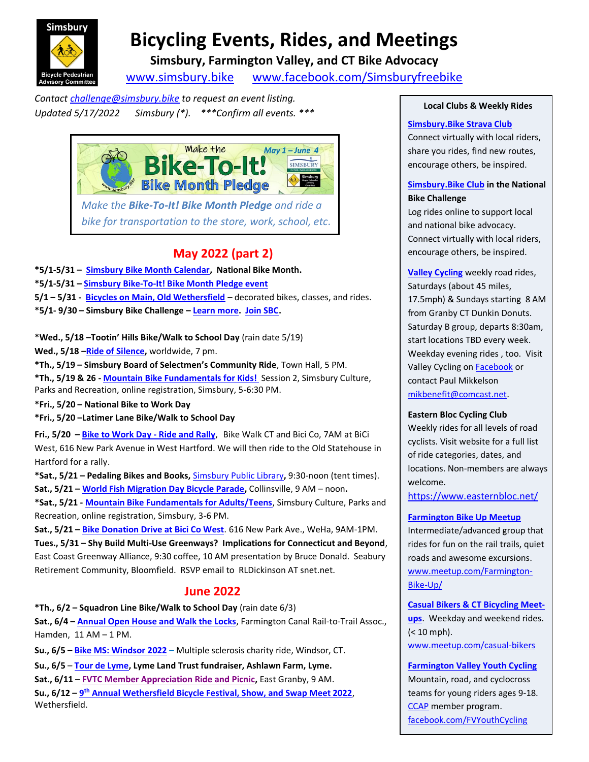

# **Bicycling Events, Rides, and Meetings**

**Simsbury, Farmington Valley, and CT Bike Advocacy**

www.simsbury.bike www.facebook.com/Simsburyfreebike

*Contact challenge@simsbury.bike to request an event listing. Updated 5/17/2022 Simsbury (\*). \*\*\*Confirm all events. \*\*\**



*Make the Bike-To-It! Bike Month Pledge and ride a bike for transportation to the store, work, school, etc.*

# **May 2022 (part 2)**

**\*5/1-5/31 – Simsbury Bike Month Calendar, National Bike Month.**

- **\*5/1-5/31 – Simsbury Bike-To-It! Bike Month Pledge event**
- **5/1 – 5/31 Bicycles on Main, Old Wethersfield** decorated bikes, classes, and rides.
- **\*5/1- 9/30 – Simsbury Bike Challenge – Learn more. Join SBC.**

**\*Wed., 5/18 –Tootin' Hills Bike/Walk to School Day** (rain date 5/19)

**Wed., 5/18 –Ride of Silence,** worldwide, 7 pm.

**\*Th., 5/19 – Simsbury Board of Selectmen's Community Ride**, Town Hall, 5 PM.

**\*Th., 5/19 & 26 - Mountain Bike Fundamentals for Kids!** Session 2, Simsbury Culture, Parks and Recreation, online registration, Simsbury, 5-6:30 PM.

**\*Fri., 5/20 – National Bike to Work Day**

**\*Fri., 5/20 –Latimer Lane Bike/Walk to School Day**

**Fri., 5/20 – Bike to Work Day - Ride and Rally**, Bike Walk CT and Bici Co, 7AM at BiCi West, 616 New Park Avenue in West Hartford. We will then ride to the Old Statehouse in Hartford for a rally.

**\*Sat., 5/21 – Pedaling Bikes and Books,** Simsbury Public Library**,** 9:30-noon (tent times). **Sat., 5/21 – World Fish Migration Day Bicycle Parade,** Collinsville, 9 AM – noon**.**

**\*Sat., 5/21 - Mountain Bike Fundamentals for Adults/Teens**, Simsbury Culture, Parks and Recreation, online registration, Simsbury, 3-6 PM.

**Sat., 5/21 – Bike Donation Drive at Bici Co West**. 616 New Park Ave., WeHa, 9AM-1PM. **Tues., 5/31 – Shy Build Multi-Use Greenways? Implications for Connecticut and Beyond**, East Coast Greenway Alliance, 9:30 coffee, 10 AM presentation by Bruce Donald. Seabury Retirement Community, Bloomfield. RSVP email to RLDickinson AT snet.net.

## **June 2022**

**\*Th., 6/2 – Squadron Line Bike/Walk to School Day** (rain date 6/3)

**Sat., 6/4 – Annual Open House and Walk the Locks**, Farmington Canal Rail-to-Trail Assoc., Hamden, 11 AM – 1 PM.

**Su., 6/5 – Bike MS: Windsor 2022 –** Multiple sclerosis charity ride, Windsor, CT.

**Su., 6/5** – **Tour de Lyme, Lyme Land Trust fundraiser, Ashlawn Farm, Lyme.**

**Sat., 6/11** – **FVTC Member Appreciation Ride and Picnic,** East Granby, 9 AM.

**Su., 6/12 – 9 th Annual Wethersfield Bicycle Festival, Show, and Swap Meet 2022**, Wethersfield.

#### **Local Clubs & Weekly Rides**

#### **Simsbury.Bike Strava Club**

Connect virtually with local riders, share you rides, find new routes, encourage others, be inspired.

#### **Simsbury.Bike Club in the National Bike Challenge**

Log rides online to support local and national bike advocacy. Connect virtually with local riders, encourage others, be inspired.

**Valley Cycling** weekly road rides, Saturdays (about 45 miles, 17.5mph) & Sundays starting 8 AM from Granby CT Dunkin Donuts. Saturday B group, departs 8:30am, start locations TBD every week. Weekday evening rides , too. Visit Valley Cycling on **Facebook** or contact Paul Mikkelson mikbenefit@comcast.net.

#### **Eastern Bloc Cycling Club**

Weekly rides for all levels of road cyclists. Visit website for a full list of ride categories, dates, and locations. Non-members are always welcome.

https://www.easternbloc.net/

**Farmington Bike Up Meetup** Intermediate/advanced group that rides for fun on the rail trails, quiet roads and awesome excursions. www.meetup.com/Farmington-Bike-Up/

**Casual Bikers & CT Bicycling Meetups**. Weekday and weekend rides. (< 10 mph). www.meetup.com/casual-bikers

**Farmington Valley Youth Cycling** Mountain, road, and cyclocross teams for young riders ages 9-18. CCAP member program. facebook.com/FVYouthCycling